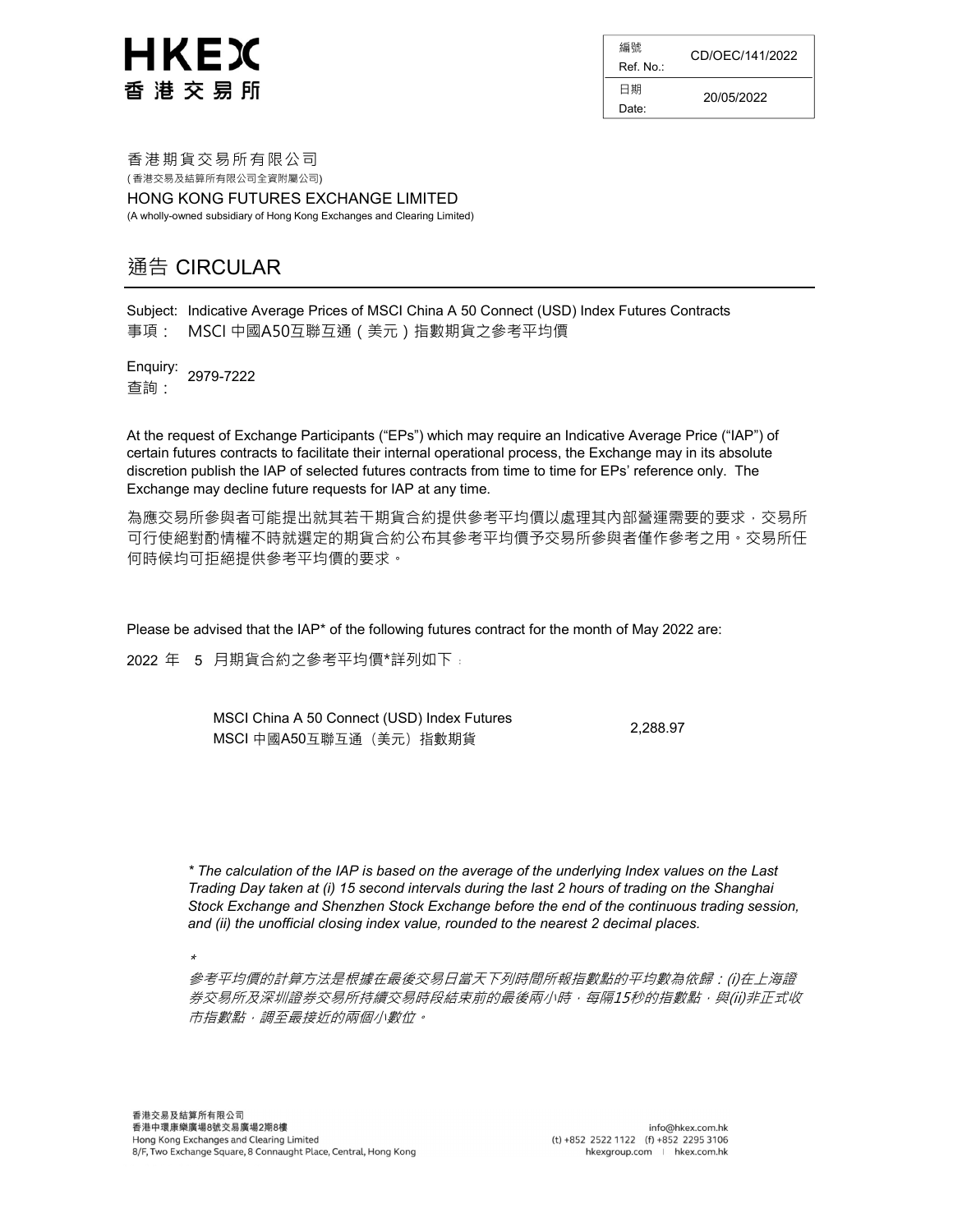

編號 Ref. No.:  $\overline{\phantom{0}}$ 日期 Date: CD/OEC/141/2022 20/05/2022 香 港 期 貨 交易 所有 限公 司

HONG KONG FUTURES EXCHANGE LIMITED (A wholly-owned subsidiary of Hong Kong Exchanges and Clearing Limited)

### 通告 CIRCULAR

Subject: Indicative Average Prices of MSCI China A 50 Connect (USD) Index Futures Contracts 事項: MSCI 中國A50互聯互通(美元)指數期貨之參考平均價

Enquiry: 查詢: 2979-7222

At the request of Exchange Participants ("EPs") which may require an Indicative Average Price ("IAP") of certain futures contracts to facilitate their internal operational process, the Exchange may in its absolute discretion publish the IAP of selected futures contracts from time to time for EPs' reference only. The Exchange may decline future requests for IAP at any time.

為應交易所參與者可能提出就其若干期貨合約提供參考平均價以處理其內部營運需要的要求,交易所 可行使絕對酌情權不時就選定的期貨合約公布其參考平均價予交易所參與者僅作參考之用。交易所任 何時候均可拒絕提供參考平均價的要求。

Please be advised that the IAP\* of the following futures contract for the month of May 2022 are:

2022 年 5 月期貨合約之參考平均價\*詳列如下﹕

| MSCI China A 50 Connect (USD) Index Futures | 2.288.97 |
|---------------------------------------------|----------|
| MSCI 中國A50互聯互通 (美元) 指數期貨                    |          |

\* The calculation of the IAP is based on the average of the underlying Index values on the Last Trading Day taken at (i) 15 second intervals during the last 2 hours of trading on the Shanghai Stock Exchange and Shenzhen Stock Exchange before the end of the continuous trading session, and (ii) the unofficial closing index value, rounded to the nearest 2 decimal places.

\*

參考平均價的計算方法是根據在最後交易日當天下列時間所報指數點的平均數為依歸:(i)在上海證 券交易所及深圳證券交易所持續交易時段結束前的最後兩小時,每隔15秒的指數點,與(ii)非正式收 市指數點,調至最接近的兩個小數位。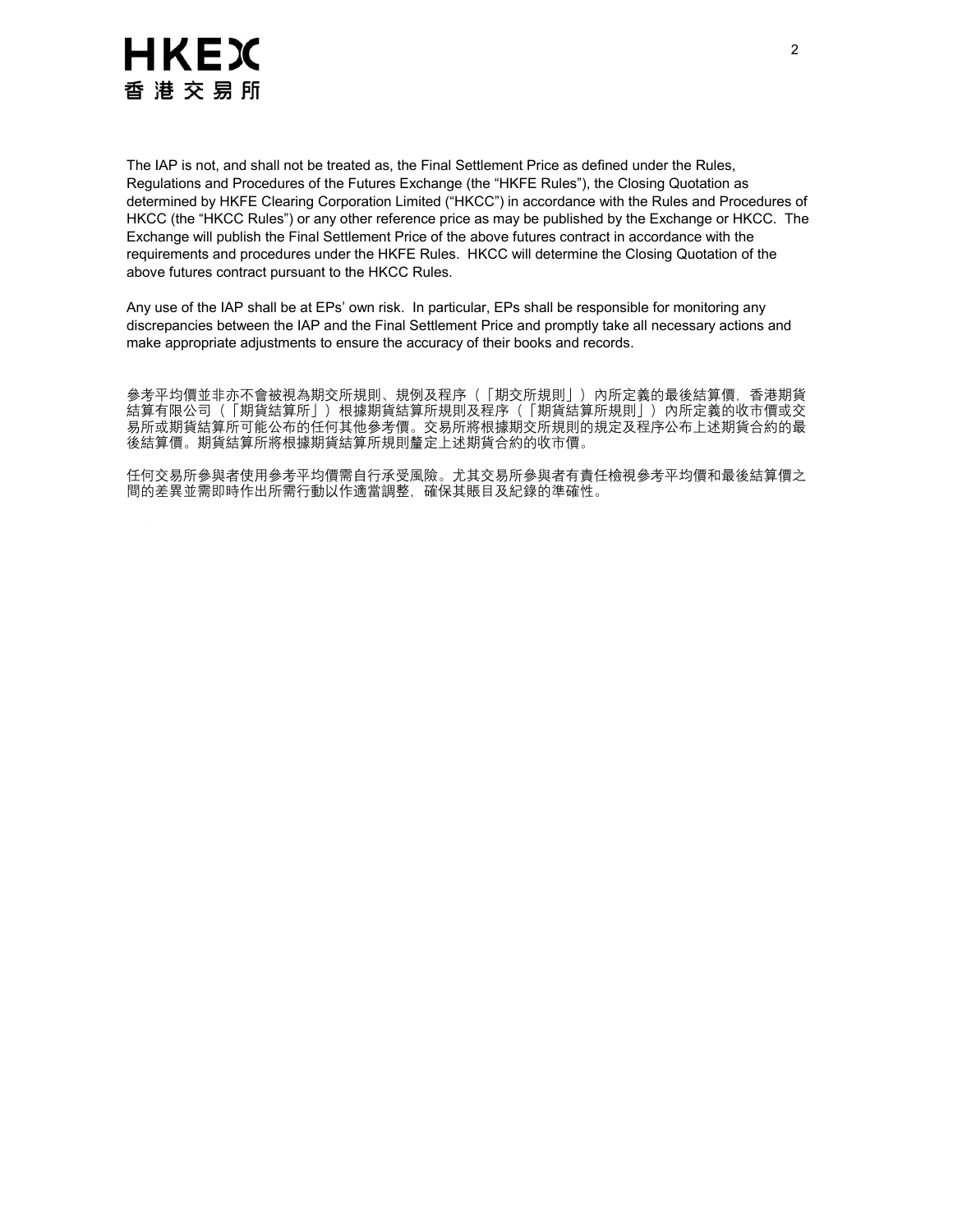

The IAP is not, and shall not be treated as, the Final Settlement Price as defined under the Rules, Regulations and Procedures of the Futures Exchange (the "HKFE Rules"), the Closing Quotation as determined by HKFE Clearing Corporation Limited ("HKCC") in accordance with the Rules and Procedures of HKCC (the "HKCC Rules") or any other reference price as may be published by the Exchange or HKCC. The Exchange will publish the Final Settlement Price of the above futures contract in accordance with the requirements and procedures under the HKFE Rules. HKCC will determine the Closing Quotation of the above futures contract pursuant to the HKCC Rules.

Any use of the IAP shall be at EPs' own risk. In particular, EPs shall be responsible for monitoring any discrepancies between the IAP and the Final Settlement Price and promptly take all necessary actions and make appropriate adjustments to ensure the accuracy of their books and records.

參考平均價並非亦不會被視為期交所規則、規例及程序(「期交所規則」)內所定義的最後結算價,香港期貨 結算有限公司(「期貨結算所」)根據期貨結算所規則及程序(「期貨結算所規則」)內所定義的收市價或交 易所或期貨結算所可能公布的任何其他參考價。交易所將根據期交所規則的規定及程序公布上述期貨合約的最 後結算價。期貨結算所將根據期貨結算所規則釐定上述期貨合約的收市價。

任何交易所參與者使用參考平均價需自行承受風險。尤其交易所參與者有責任檢視參考平均價和最後結算價之 間的差異並需即時作出所需行動以作適當調整,確保其賬目及紀錄的準確性。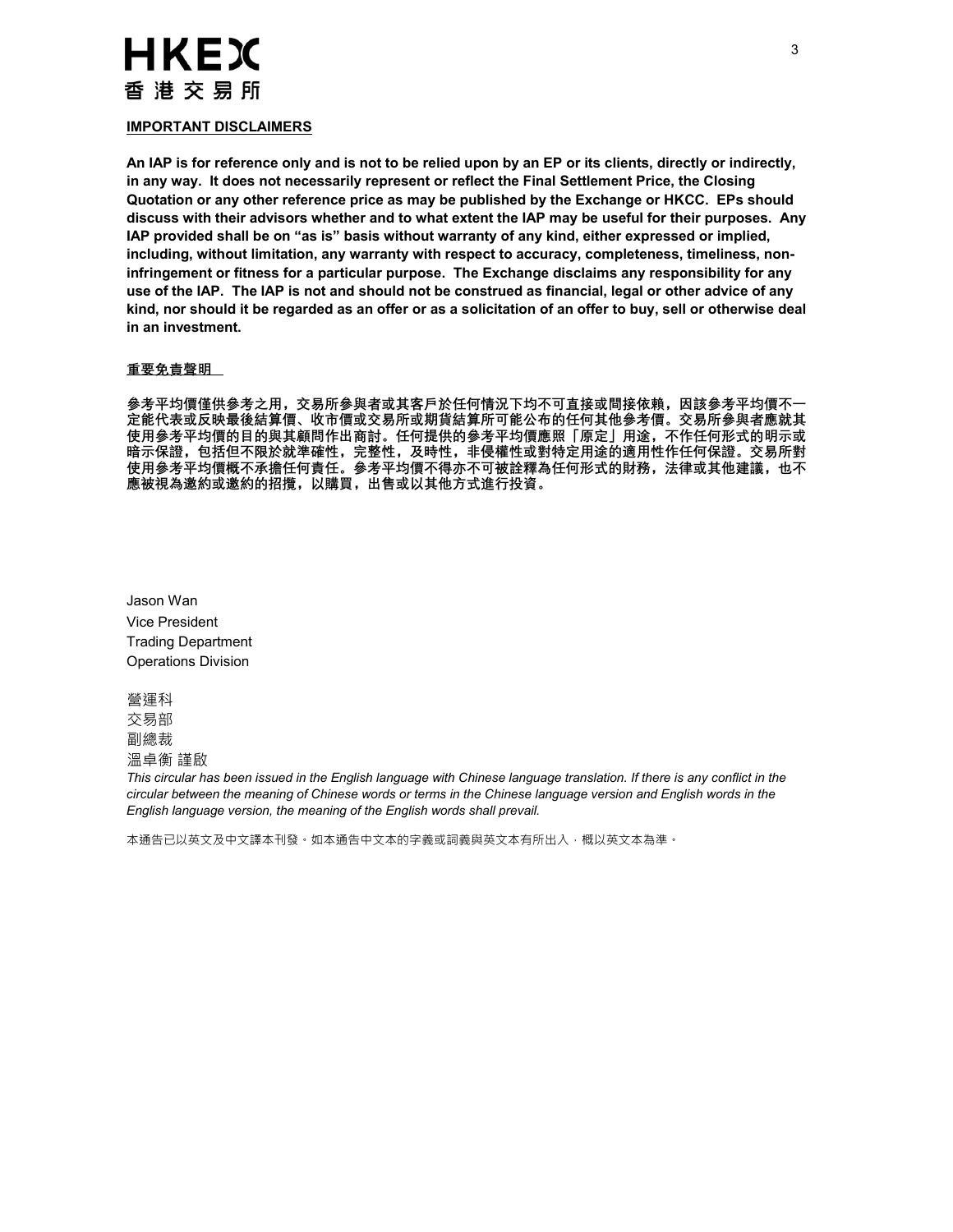## **HKEX** 香 港 交 易 所

#### IMPORTANT DISCLAIMERS

An IAP is for reference only and is not to be relied upon by an EP or its clients, directly or indirectly, in any way. It does not necessarily represent or reflect the Final Settlement Price, the Closing Quotation or any other reference price as may be published by the Exchange or HKCC. EPs should discuss with their advisors whether and to what extent the IAP may be useful for their purposes. Any IAP provided shall be on "as is" basis without warranty of any kind, either expressed or implied, including, without limitation, any warranty with respect to accuracy, completeness, timeliness, noninfringement or fitness for a particular purpose. The Exchange disclaims any responsibility for any use of the IAP. The IAP is not and should not be construed as financial, legal or other advice of any kind, nor should it be regarded as an offer or as a solicitation of an offer to buy, sell or otherwise deal in an investment.

#### 重要免責聲明

參考平均價僅供參考之用,交易所參與者或其客戶於任何情況下均不可直接或間接依賴,因該參考平均價不一 定能代表或反映最後結算價、收市價或交易所或期貨結算所可能公布的任何其他參考價。交易所參與者應就其 使用參考平均價的目的與其顧問作出商討。任何提供的參考平均價應照「原定」用途,不作任何形式的明示或 暗示保證,包括但不限於就準確性,完整性,及時性,非侵權性或對特定用途的適用性作任何保證。交易所對 使用參考平均價概不承擔任何責任。參考平均價不得亦不可被詮釋為任何形式的財務,法律或其他建議,也不 應被視為邀約或邀約的招攬,以購買,出售或以其他方式進行投資。

Jason Wan Vice President Trading Department Operations Division

營運科 交易部

副總裁

溫卓衡 謹啟

This circular has been issued in the English language with Chinese language translation. If there is any conflict in the circular between the meaning of Chinese words or terms in the Chinese language version and English words in the English language version, the meaning of the English words shall prevail.

本通告已以英文及中文譯本刊發。如本通告中文本的字義或詞義與英文本有所出入,概以英文本為準。